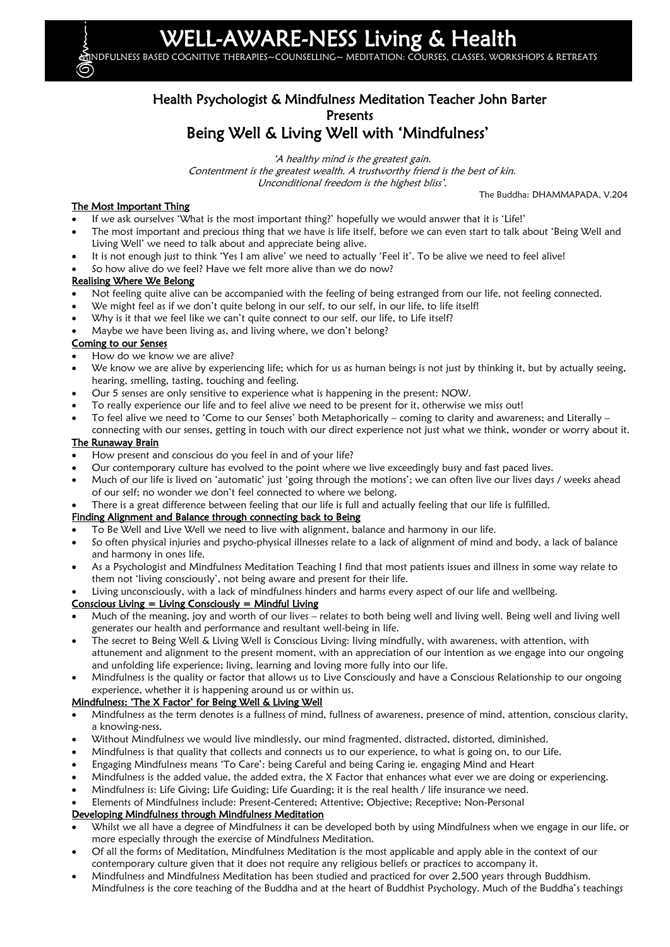# L-AWARE-NESS Living & Health

MINDFULNESS BASED COGNITIVE THERAPIES~COUNSELLING~ MEDITATION: COURSES, CLASSES, WORKSHOPS & RETREATS

# Health Psychologist & Mindfulness Meditation Teacher John Barter Presents Being Well & Living Well with 'Mindfulness'

'A healthy mind is the greatest gain. Contentment is the greatest wealth. A trustworthy friend is the best of kin. Unconditional freedom is the highest bliss'.

The Buddha: DHAMMAPADA, V.204

#### The Most Important Thing

- If we ask ourselves 'What is the most important thing?' hopefully we would answer that it is 'Life!'
- The most important and precious thing that we have is life itself, before we can even start to talk about 'Being Well and Living Well' we need to talk about and appreciate being alive.
- It is not enough just to think 'Yes I am alive' we need to actually 'Feel it'. To be alive we need to feel alive!
- So how alive do we feel? Have we felt more alive than we do now?

#### Realising Where We Belong

- Not feeling quite alive can be accompanied with the feeling of being estranged from our life, not feeling connected.
- We might feel as if we don't quite belong in our self, to our self, in our life, to life itself!
- Why is it that we feel like we can't quite connect to our self, our life, to Life itself?
- Maybe we have been living as, and living where, we don't belong?

#### Coming to our Senses

- How do we know we are alive?
- We know we are alive by experiencing life; which for us as human beings is not just by thinking it, but by actually seeing, hearing, smelling, tasting, touching and feeling.
- Our 5 senses are only sensitive to experience what is happening in the present: NOW.
- To really experience our life and to feel alive we need to be present for it, otherwise we miss out!
- To feel alive we need to 'Come to our Senses' both Metaphorically coming to clarity and awareness; and Literally connecting with our senses, getting in touch with our direct experience not just what we think, wonder or worry about it.

#### The Runaway Brain

- How present and conscious do you feel in and of your life?
- Our contemporary culture has evolved to the point where we live exceedingly busy and fast paced lives.
- Much of our life is lived on 'automatic' just 'going through the motions'; we can often live our lives days / weeks ahead of our self; no wonder we don't feel connected to where we belong.
- There is a great difference between feeling that our life is full and actually feeling that our life is fulfilled.

### Finding Alignment and Balance through connecting back to Being

- To Be Well and Live Well we need to live with alignment, balance and harmony in our life.
- So often physical injuries and psycho-physical illnesses relate to a lack of alignment of mind and body, a lack of balance and harmony in ones life.
- As a Psychologist and Mindfulness Meditation Teaching I find that most patients issues and illness in some way relate to them not 'living consciously', not being aware and present for their life.

Living unconsciously, with a lack of mindfulness hinders and harms every aspect of our life and wellbeing.

### $Conscious Living = Living Consciously = Mindful Living$

- Much of the meaning, joy and worth of our lives relates to both being well and living well. Being well and living well generates our health and performance and resultant well-being in life.
- The secret to Being Well & Living Well is Conscious Living: living mindfully, with awareness, with attention, with attunement and alignment to the present moment, with an appreciation of our intention as we engage into our ongoing and unfolding life experience; living, learning and loving more fully into our life.
- Mindfulness is the quality or factor that allows us to Live Consciously and have a Conscious Relationship to our ongoing experience, whether it is happening around us or within us.

## Mindfulness: 'The X Factor' for Being Well & Living Well

- Mindfulness as the term denotes is a fullness of mind, fullness of awareness, presence of mind, attention, conscious clarity, a knowing-ness.
- Without Mindfulness we would live mindlessly, our mind fragmented, distracted, distorted, diminished.
- Mindfulness is that quality that collects and connects us to our experience, to what is going on, to our Life.
- Engaging Mindfulness means 'To Care': being Careful and being Caring ie. engaging Mind and Heart
- Mindfulness is the added value, the added extra, the X Factor that enhances what ever we are doing or experiencing.
- Mindfulness is: Life Giving; Life Guiding; Life Guarding; it is the real health / life insurance we need.
- Elements of Mindfulness include: Present-Centered; Attentive; Objective; Receptive; Non-Personal

### Developing Mindfulness through Mindfulness Meditation

- Whilst we all have a degree of Mindfulness it can be developed both by using Mindfulness when we engage in our life, or more especially through the exercise of Mindfulness Meditation.
- Of all the forms of Meditation, Mindfulness Meditation is the most applicable and apply able in the context of our contemporary culture given that it does not require any religious beliefs or practices to accompany it.
- Mindfulness and Mindfulness Meditation has been studied and practiced for over 2,500 years through Buddhism.

Mindfulness is the core teaching of the Buddha and at the heart of Buddhist Psychology. Much of the Buddha's teachings